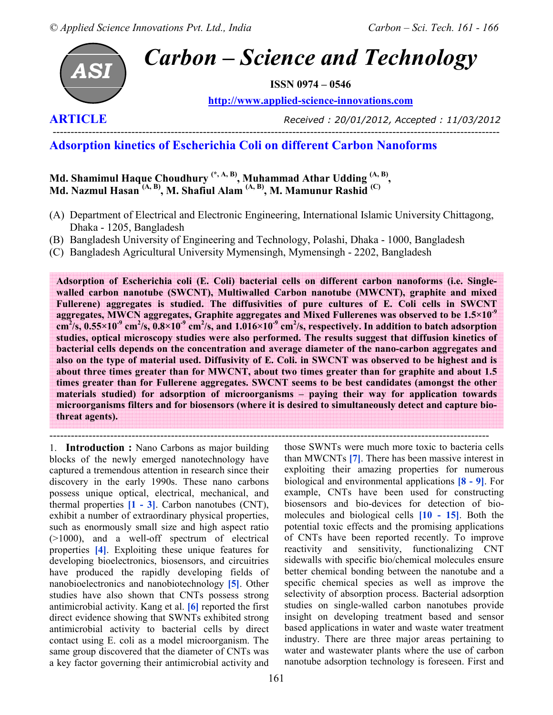

**ISSN 0974 – 0546** 

**http://www.applied-science-innovations.com**



**ARTICLE** *Received : 20/01/2012, Accepted : 11/03/2012* 

## **Adsorption kinetics of Escherichia Coli on different Carbon Nanoforms**

**Md. Shamimul Haque Choudhury (\*, A, B), Muhammad Athar Udding (A, B) , Md. Nazmul Hasan (A, B), M. Shafiul Alam (A, B), M. Mamunur Rashid (C)** 

- (A) Department of Electrical and Electronic Engineering, International Islamic University Chittagong, Dhaka - 1205, Bangladesh
- (B) Bangladesh University of Engineering and Technology, Polashi, Dhaka 1000, Bangladesh
- (C) Bangladesh Agricultural University Mymensingh, Mymensingh 2202, Bangladesh

**Adsorption of Escherichia coli (E. Coli) bacterial cells on different carbon nanoforms (i.e. Singlewalled carbon nanotube (SWCNT), Multiwalled Carbon nanotube (MWCNT), graphite and mixed Fullerene) aggregates is studied. The diffusivities of pure cultures of E. Coli cells in SWCNT aggregates, MWCN aggregates, Graphite aggregates and Mixed Fullerenes was observed to be 1.5×10-9**  $cm^2$ /s, 0.55×10<sup>-9</sup> cm<sup>2</sup>/s, 0.8×10<sup>-9</sup> cm<sup>2</sup>/s, and 1.016×10<sup>-9</sup> cm<sup>2</sup>/s, respectively. In addition to batch adsorption **studies, optical microscopy studies were also performed. The results suggest that diffusion kinetics of bacterial cells depends on the concentration and average diameter of the nano-carbon aggregates and also on the type of material used. Diffusivity of E. Coli. in SWCNT was observed to be highest and is about three times greater than for MWCNT, about two times greater than for graphite and about 1.5 times greater than for Fullerene aggregates. SWCNT seems to be best candidates (amongst the other materials studied) for adsorption of microorganisms – paying their way for application towards microorganisms filters and for biosensors (where it is desired to simultaneously detect and capture biothreat agents).** 

--------------------------------------------------------------------------------------------------------------------------- 1. **Introduction :** Nano Carbons as major building blocks of the newly emerged nanotechnology have captured a tremendous attention in research since their discovery in the early 1990s. These nano carbons possess unique optical, electrical, mechanical, and thermal properties **[1 - 3]**. Carbon nanotubes (CNT), exhibit a number of extraordinary physical properties, such as enormously small size and high aspect ratio (>1000), and a well-off spectrum of electrical properties **[4]**. Exploiting these unique features for developing bioelectronics, biosensors, and circuitries have produced the rapidly developing fields of nanobioelectronics and nanobiotechnology **[5]**. Other studies have also shown that CNTs possess strong antimicrobial activity. Kang et al. **[6]** reported the first direct evidence showing that SWNTs exhibited strong antimicrobial activity to bacterial cells by direct contact using E. coli as a model microorganism. The same group discovered that the diameter of CNTs was a key factor governing their antimicrobial activity and

those SWNTs were much more toxic to bacteria cells than MWCNTs **[7]**. There has been massive interest in exploiting their amazing properties for numerous biological and environmental applications **[8 - 9]**. For example, CNTs have been used for constructing biosensors and bio-devices for detection of biomolecules and biological cells **[10 - 15]**. Both the potential toxic effects and the promising applications of CNTs have been reported recently. To improve reactivity and sensitivity, functionalizing CNT sidewalls with specific bio/chemical molecules ensure better chemical bonding between the nanotube and a specific chemical species as well as improve the selectivity of absorption process. Bacterial adsorption studies on single-walled carbon nanotubes provide insight on developing treatment based and sensor based applications in water and waste water treatment industry. There are three major areas pertaining to water and wastewater plants where the use of carbon nanotube adsorption technology is foreseen. First and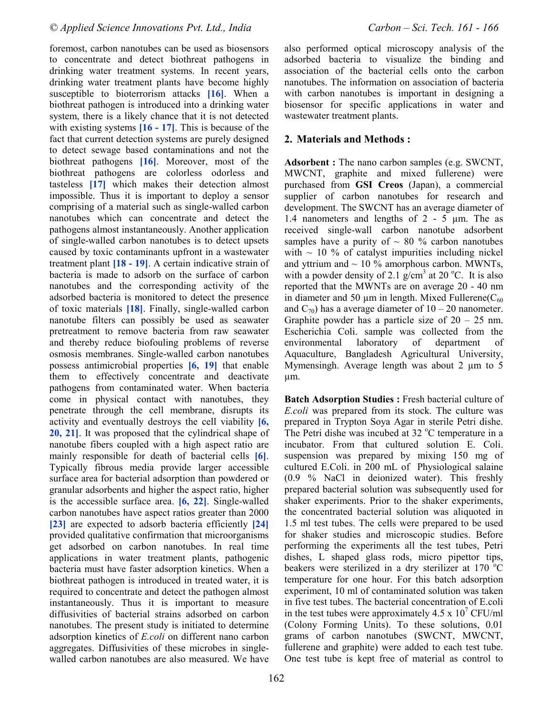foremost, carbon nanotubes can be used as biosensors to concentrate and detect biothreat pathogens in drinking water treatment systems. In recent years, drinking water treatment plants have become highly susceptible to bioterrorism attacks **[16]**. When a biothreat pathogen is introduced into a drinking water system, there is a likely chance that it is not detected with existing systems **[16 - 17]**. This is because of the fact that current detection systems are purely designed to detect sewage based contaminations and not the biothreat pathogens **[16]**. Moreover, most of the biothreat pathogens are colorless odorless and tasteless **[17]** which makes their detection almost impossible. Thus it is important to deploy a sensor comprising of a material such as single-walled carbon nanotubes which can concentrate and detect the pathogens almost instantaneously. Another application of single-walled carbon nanotubes is to detect upsets caused by toxic contaminants upfront in a wastewater treatment plant **[18 - 19]**. A certain indicative strain of bacteria is made to adsorb on the surface of carbon nanotubes and the corresponding activity of the adsorbed bacteria is monitored to detect the presence of toxic materials **[18]**. Finally, single-walled carbon nanotube filters can possibly be used as seawater pretreatment to remove bacteria from raw seawater and thereby reduce biofouling problems of reverse osmosis membranes. Single-walled carbon nanotubes possess antimicrobial properties **[6, 19]** that enable them to effectively concentrate and deactivate pathogens from contaminated water. When bacteria come in physical contact with nanotubes, they penetrate through the cell membrane, disrupts its activity and eventually destroys the cell viability **[6, 20, 21]**. It was proposed that the cylindrical shape of nanotube fibers coupled with a high aspect ratio are mainly responsible for death of bacterial cells **[6]**. Typically fibrous media provide larger accessible surface area for bacterial adsorption than powdered or granular adsorbents and higher the aspect ratio, higher is the accessible surface area. **[6, 22]**. Single-walled carbon nanotubes have aspect ratios greater than 2000 **[23]** are expected to adsorb bacteria efficiently **[24]**  provided qualitative confirmation that microorganisms get adsorbed on carbon nanotubes. In real time applications in water treatment plants, pathogenic bacteria must have faster adsorption kinetics. When a biothreat pathogen is introduced in treated water, it is required to concentrate and detect the pathogen almost instantaneously. Thus it is important to measure diffusivities of bacterial strains adsorbed on carbon nanotubes. The present study is initiated to determine adsorption kinetics of *E.coli* on different nano carbon aggregates. Diffusivities of these microbes in singlewalled carbon nanotubes are also measured. We have also performed optical microscopy analysis of the adsorbed bacteria to visualize the binding and association of the bacterial cells onto the carbon nanotubes. The information on association of bacteria with carbon nanotubes is important in designing a biosensor for specific applications in water and wastewater treatment plants.

## **2. Materials and Methods :**

**Adsorbent :** The nano carbon samples (e.g. SWCNT, MWCNT, graphite and mixed fullerene) were purchased from **GSI Creos** (Japan), a commercial supplier of carbon nanotubes for research and development. The SWCNT has an average diameter of 1.4 nanometers and lengths of 2 - 5 µm. The as received single-wall carbon nanotube adsorbent samples have a purity of  $\sim 80$  % carbon nanotubes with  $\sim$  10 % of catalyst impurities including nickel and yttrium and  $\sim$  10 % amorphous carbon. MWNTs, with a powder density of 2.1  $\frac{g}{cm}$ <sup>3</sup> at 20 °C. It is also reported that the MWNTs are on average 20 - 40 nm in diameter and 50  $\mu$ m in length. Mixed Fullerene( $C_{60}$ ) and  $C_{70}$ ) has a average diameter of  $10 - 20$  nanometer. Graphite powder has a particle size of  $20 - 25$  nm. Escherichia Coli. sample was collected from the environmental laboratory of department of Aquaculture, Bangladesh Agricultural University, Mymensingh. Average length was about  $2 \mu m$  to  $5 \mu m$ µm.

**Batch Adsorption Studies : Fresh bacterial culture of** *E.coli* was prepared from its stock. The culture was prepared in Trypton Soya Agar in sterile Petri dishe. The Petri dishe was incubed at  $32^{\circ}$ C temperature in a incubator. From that cultured solution E. Coli. suspension was prepared by mixing 150 mg of cultured E.Coli. in 200 mL of Physiological salaine (0.9 % NaCl in deionized water). This freshly prepared bacterial solution was subsequently used for shaker experiments. Prior to the shaker experiments, the concentrated bacterial solution was aliquoted in 1.5 ml test tubes. The cells were prepared to be used for shaker studies and microscopic studies. Before performing the experiments all the test tubes, Petri dishes, L shaped glass rods, micro pipettor tips, beakers were sterilized in a dry sterilizer at  $170 \degree C$ temperature for one hour. For this batch adsorption experiment, 10 ml of contaminated solution was taken in five test tubes. The bacterial concentration of E.coli in the test tubes were approximately  $4.5 \times 10^7$  CFU/ml (Colony Forming Units). To these solutions, 0.01 grams of carbon nanotubes (SWCNT, MWCNT, fullerene and graphite) were added to each test tube. One test tube is kept free of material as control to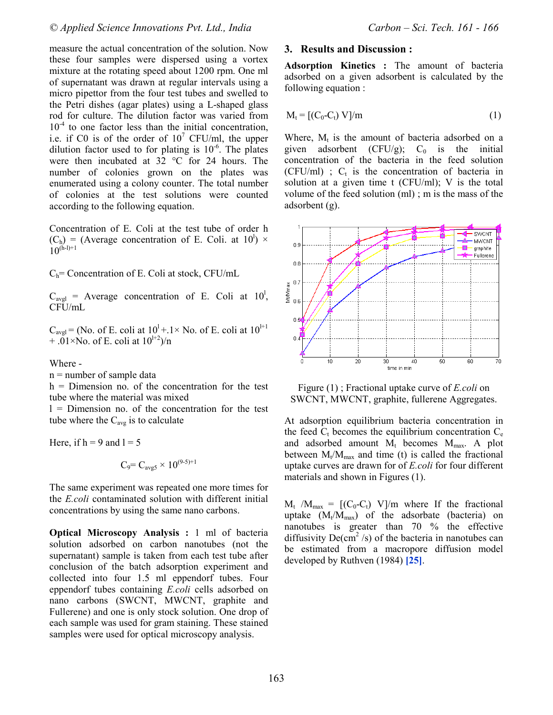measure the actual concentration of the solution. Now these four samples were dispersed using a vortex mixture at the rotating speed about 1200 rpm. One ml of supernatant was drawn at regular intervals using a micro pipettor from the four test tubes and swelled to the Petri dishes (agar plates) using a L-shaped glass rod for culture. The dilution factor was varied from  $10<sup>-4</sup>$  to one factor less than the initial concentration, i.e. if C0 is of the order of  $10^7$  CFU/ml, the upper dilution factor used to for plating is  $10^{-6}$ . The plates were then incubated at 32 °C for 24 hours. The number of colonies grown on the plates was enumerated using a colony counter. The total number of colonies at the test solutions were counted according to the following equation.

Concentration of E. Coli at the test tube of order h  $(C_h)$  = (Average concentration of E. Coli. at 10<sup>1</sup>) ×  $10^{(h-1)+1}$ 

 $C_h$ = Concentration of E. Coli at stock, CFU/mL

 $C_{\text{avgl}}$  = Average concentration of E. Coli at 10<sup>1</sup>, CFU/mL

 $C_{\text{avg}}$  = (No. of E. coli at  $10^{1}$  + 1 × No. of E. coli at  $10^{1+1}$  $+ .01 \times$ No. of E. coli at  $10^{1+2}$ /n

Where -

n = number of sample data

h = Dimension no. of the concentration for the test tube where the material was mixed

l = Dimension no. of the concentration for the test tube where the  $C_{avg}$  is to calculate

Here, if  $h = 9$  and  $l = 5$ 

$$
C_9 = C_{avg5} \times 10^{(9-5)+1}
$$

The same experiment was repeated one more times for the *E.coli* contaminated solution with different initial concentrations by using the same nano carbons.

**Optical Microscopy Analysis :** 1 ml of bacteria solution adsorbed on carbon nanotubes (not the supernatant) sample is taken from each test tube after conclusion of the batch adsorption experiment and collected into four 1.5 ml eppendorf tubes. Four eppendorf tubes containing *E.coli* cells adsorbed on nano carbons (SWCNT, MWCNT, graphite and Fullerene) and one is only stock solution. One drop of each sample was used for gram staining. These stained samples were used for optical microscopy analysis.

## **3. Results and Discussion :**

**Adsorption Kinetics :** The amount of bacteria adsorbed on a given adsorbent is calculated by the following equation :

$$
M_t = [(C_0 - C_t) V] / m \tag{1}
$$

Where,  $M_t$  is the amount of bacteria adsorbed on a given adsorbent (CFU/g);  $C_0$  is the initial concentration of the bacteria in the feed solution  $(CFU/ml)$  ;  $C_t$  is the concentration of bacteria in solution at a given time t (CFU/ml); V is the total volume of the feed solution (ml) ; m is the mass of the adsorbent (g).



Figure (1) ; Fractional uptake curve of *E.coli* on SWCNT, MWCNT, graphite, fullerene Aggregates.

At adsorption equilibrium bacteria concentration in the feed  $C_t$  becomes the equilibrium concentration  $C_e$ and adsorbed amount  $M_t$  becomes  $M_{max}$ . A plot between  $M_t/M_{max}$  and time (t) is called the fractional uptake curves are drawn for of *E.coli* for four different materials and shown in Figures (1).

 $M_t$  / $M_{\text{max}} = [(C_0 - C_t) V]/m$  where If the fractional uptake  $(M_t/M_{max})$  of the adsorbate (bacteria) on nanotubes is greater than 70 % the effective diffusivity  $De(cm^2/s)$  of the bacteria in nanotubes can be estimated from a macropore diffusion model developed by Ruthven (1984) **[25]**.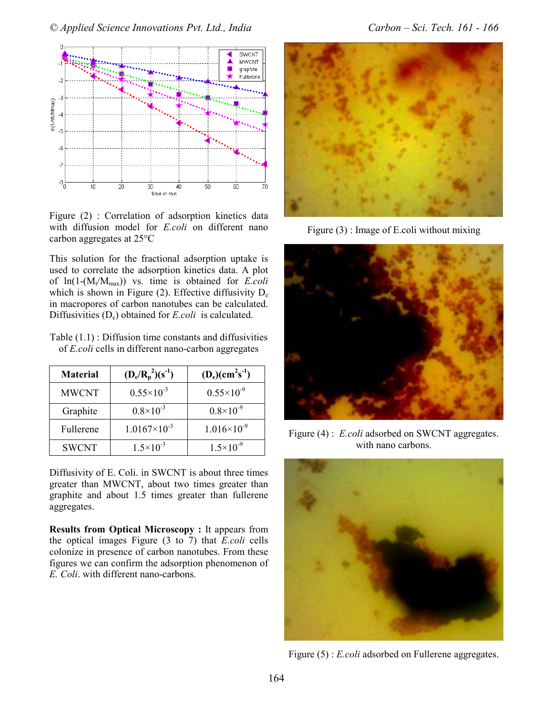

Figure (2) : Correlation of adsorption kinetics data with diffusion model for *E.coli* on different nano carbon aggregates at 25°C

This solution for the fractional adsorption uptake is used to correlate the adsorption kinetics data. A plot of  $ln(1-(M_t/M_{max}))$  vs. time is obtained for *E.coli* which is shown in Figure  $(2)$ . Effective diffusivity  $D_e$ in macropores of carbon nanotubes can be calculated. Diffusivities (De) obtained for *E.coli* is calculated.

Table (1.1) : Diffusion time constants and diffusivities of *E.coli* cells in different nano-carbon aggregates

| <b>Material</b> | $(D_e/R_p^2)(s^{-1})$ | $(D_e)(cm^2s^{-1})$    |
|-----------------|-----------------------|------------------------|
| <b>MWCNT</b>    | $0.55 \times 10^{-3}$ | $0.55 \times 10^{-9}$  |
| Graphite        | $0.8\times10^{-3}$    | $0.8\times10^{-9}$     |
| Fullerene       | $1.0167\times10^{-3}$ | $1.016 \times 10^{-9}$ |
| <b>SWCNT</b>    | $1.5 \times 10^{-3}$  | $1.5 \times 10^{-9}$   |

Diffusivity of E. Coli. in SWCNT is about three times greater than MWCNT, about two times greater than graphite and about 1.5 times greater than fullerene aggregates.

**Results from Optical Microscopy : It appears from** the optical images Figure (3 to 7) that *E.coli* cells colonize in presence of carbon nanotubes. From these figures we can confirm the adsorption phenomenon of *E. Coli*. with different nano-carbons.



Figure (3) : Image of E.coli without mixing



Figure (4) : *E.coli* adsorbed on SWCNT aggregates. with nano carbons.



Figure (5) : *E.coli* adsorbed on Fullerene aggregates.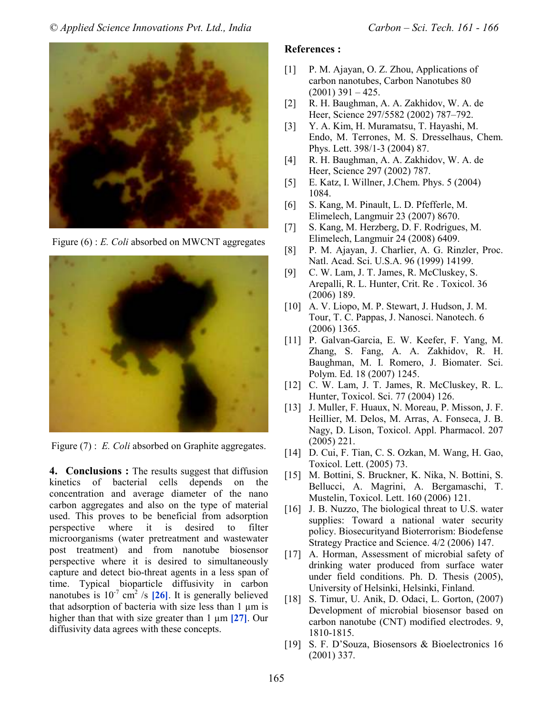

Figure (6) : *E. Coli* absorbed on MWCNT aggregates



Figure (7) : *E. Coli* absorbed on Graphite aggregates.

**4. Conclusions :** The results suggest that diffusion kinetics of bacterial cells depends on the concentration and average diameter of the nano carbon aggregates and also on the type of material used. This proves to be beneficial from adsorption perspective where it is desired to filter microorganisms (water pretreatment and wastewater post treatment) and from nanotube biosensor perspective where it is desired to simultaneously capture and detect bio-threat agents in a less span of time. Typical bioparticle diffusivity in carbon nanotubes is  $10^{-7}$  cm<sup>2</sup> /s  $[26]$ . It is generally believed that adsorption of bacteria with size less than 1 µm is higher than that with size greater than 1 µm **[27]**. Our diffusivity data agrees with these concepts.

## **References :**

- [1] P. M. Ajayan, O. Z. Zhou, Applications of carbon nanotubes, Carbon Nanotubes 80  $(2001)$  391 – 425.
- [2] R. H. Baughman, A. A. Zakhidov, W. A. de Heer, Science 297/5582 (2002) 787–792.
- [3] Y. A. Kim, H. Muramatsu, T. Hayashi, M. Endo, M. Terrones, M. S. Dresselhaus, Chem. Phys. Lett. 398/1-3 (2004) 87.
- [4] R. H. Baughman, A. A. Zakhidov, W. A. de Heer, Science 297 (2002) 787.
- [5] E. Katz, I. Willner, J.Chem. Phys. 5 (2004) 1084.
- [6] S. Kang, M. Pinault, L. D. Pfefferle, M. Elimelech, Langmuir 23 (2007) 8670.
- [7] S. Kang, M. Herzberg, D. F. Rodrigues, M. Elimelech, Langmuir 24 (2008) 6409.
- [8] P. M. Ajayan, J. Charlier, A. G. Rinzler, Proc. Natl. Acad. Sci. U.S.A. 96 (1999) 14199.
- [9] C. W. Lam, J. T. James, R. McCluskey, S. Arepalli, R. L. Hunter, Crit. Re . Toxicol. 36 (2006) 189.
- [10] A. V. Liopo, M. P. Stewart, J. Hudson, J. M. Tour, T. C. Pappas, J. Nanosci. Nanotech. 6 (2006) 1365.
- [11] P. Galvan-Garcia, E. W. Keefer, F. Yang, M. Zhang, S. Fang, A. A. Zakhidov, R. H. Baughman, M. I. Romero, J. Biomater. Sci. Polym. Ed. 18 (2007) 1245.
- [12] C. W. Lam, J. T. James, R. McCluskey, R. L. Hunter, Toxicol. Sci. 77 (2004) 126.
- [13] J. Muller, F. Huaux, N. Moreau, P. Misson, J. F. Heillier, M. Delos, M. Arras, A. Fonseca, J. B. Nagy, D. Lison, Toxicol. Appl. Pharmacol. 207 (2005) 221.
- [14] D. Cui, F. Tian, C. S. Ozkan, M. Wang, H. Gao, Toxicol. Lett. (2005) 73.
- [15] M. Bottini, S. Bruckner, K. Nika, N. Bottini, S. Bellucci, A. Magrini, A. Bergamaschi, T. Mustelin, Toxicol. Lett. 160 (2006) 121.
- [16] J. B. Nuzzo, The biological threat to U.S. water supplies: Toward a national water security policy. Biosecurityand Bioterrorism: Biodefense Strategy Practice and Science. 4/2 (2006) 147.
- [17] A. Horman, Assessment of microbial safety of drinking water produced from surface water under field conditions. Ph. D. Thesis (2005), University of Helsinki, Helsinki, Finland.
- [18] S. Timur, U. Anik, D. Odaci, L. Gorton, (2007) Development of microbial biosensor based on carbon nanotube (CNT) modified electrodes. 9, 1810-1815.
- [19] S. F. D'Souza, Biosensors & Bioelectronics 16 (2001) 337.